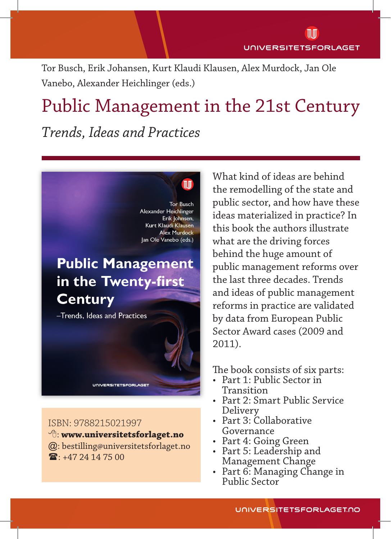Tor Busch, Erik Johansen, Kurt Klaudi Klausen, Alex Murdock, Jan Ole Vanebo, Alexander Heichlinger (eds.)

 $\mathbb{u}$ 

# Public Management in the 21st Century *Trends, Ideas and Practices*

**Tor Busch** Alexander Heichlinger Erik Johnsen, Kurt Klaudi Klausen **Alex Murdock** Jan Ole Vanebo (eds.)

## **Public Management** in the Twenty-first **Century**

-Trends, Ideas and Practices

ISBN: 9788215021997

- : **www.universitetsforlaget.no**
- @: bestilling@universitetsforlaget.no  $\mathbf{E} \cdot +4724147500$

**UNIVERSITETSFORLAGET** 

What kind of ideas are behind the remodelling of the state and public sector, and how have these ideas materialized in practice? In this book the authors illustrate what are the driving forces behind the huge amount of public management reforms over the last three decades. Trends and ideas of public management reforms in practice are validated by data from European Public Sector Award cases (2009 and 2011).

The book consists of six parts:

- Part 1: Public Sector in Transition
- Part 2: Smart Public Service Delivery
- Part 3: Collaborative Governance
- Part 4: Going Green
- Part 5: Leadership and Management Change
- Part 6: Managing Change in Public Sector